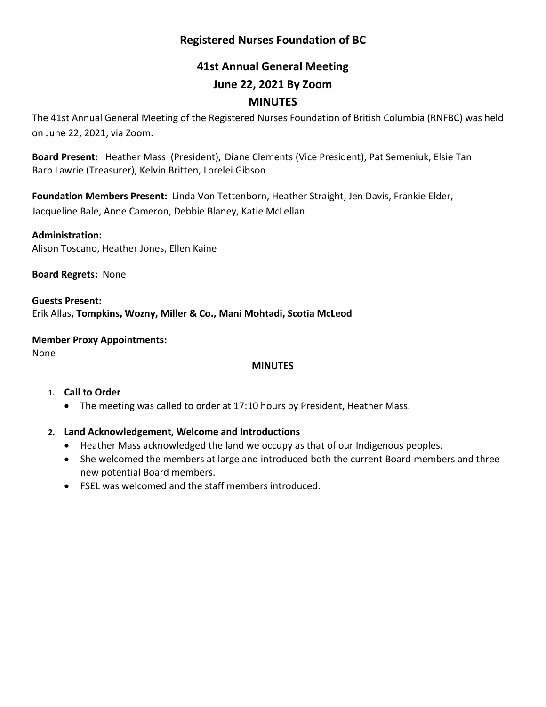# **Registered Nurses Foundation of BC**

# **41st Annual General Meeting June 22, 2021 By Zoom MINUTES**

The 41st Annual General Meeting of the Registered Nurses Foundation of British Columbia (RNFBC) was held on June 22, 2021, via Zoom.

**Board Present:** Heather Mass (President), Diane Clements (Vice President), Pat Semeniuk, Elsie Tan Barb Lawrie (Treasurer), Kelvin Britten, Lorelei Gibson

**Foundation Members Present:** Linda Von Tettenborn, Heather Straight, Jen Davis, Frankie Elder, Jacqueline Bale, Anne Cameron, Debbie Blaney, Katie McLellan

**Administration:**  Alison Toscano, Heather Jones, Ellen Kaine

**Board Regrets:** None

**Guests Present:** Erik Allas**, Tompkins, Wozny, Miller & Co., Mani Mohtadi, Scotia McLeod**

**Member Proxy Appointments:** None

# **MINUTES**

#### **1. Call to Order**

• The meeting was called to order at 17:10 hours by President, Heather Mass.

# **2. Land Acknowledgement, Welcome and Introductions**

- Heather Mass acknowledged the land we occupy as that of our Indigenous peoples.
- She welcomed the members at large and introduced both the current Board members and three new potential Board members.
- FSEL was welcomed and the staff members introduced.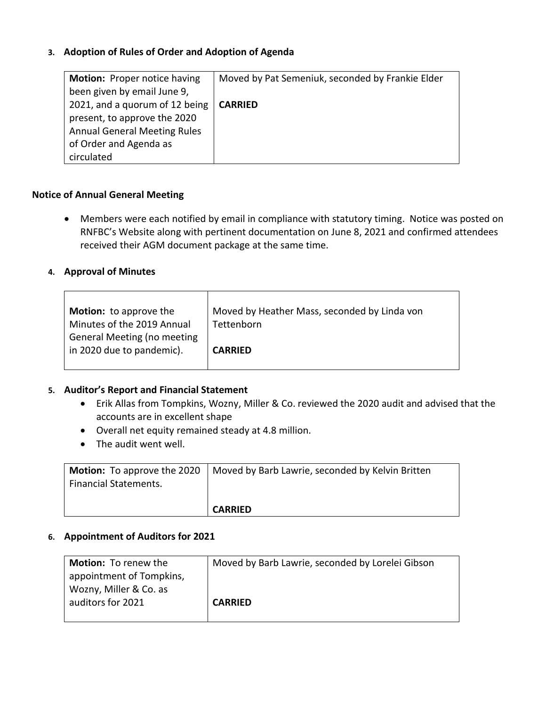# **3. Adoption of Rules of Order and Adoption of Agenda**

| <b>Motion: Proper notice having</b> | Moved by Pat Semeniuk, seconded by Frankie Elder |
|-------------------------------------|--------------------------------------------------|
| been given by email June 9,         |                                                  |
| 2021, and a quorum of 12 being      | <b>CARRIED</b>                                   |
| present, to approve the 2020        |                                                  |
| <b>Annual General Meeting Rules</b> |                                                  |
| of Order and Agenda as              |                                                  |
| circulated                          |                                                  |

#### **Notice of Annual General Meeting**

• Members were each notified by email in compliance with statutory timing. Notice was posted on RNFBC's Website along with pertinent documentation on June 8, 2021 and confirmed attendees received their AGM document package at the same time.

#### **4. Approval of Minutes**

| Motion: to approve the             | Moved by Heather Mass, seconded by Linda von |
|------------------------------------|----------------------------------------------|
| Minutes of the 2019 Annual         | Tettenborn                                   |
| <b>General Meeting (no meeting</b> |                                              |
| in 2020 due to pandemic).          | <b>CARRIED</b>                               |
|                                    |                                              |

#### **5. Auditor's Report and Financial Statement**

- Erik Allas from Tompkins, Wozny, Miller & Co. reviewed the 2020 audit and advised that the accounts are in excellent shape
- Overall net equity remained steady at 4.8 million.
- The audit went well.

| <b>Financial Statements.</b> | <b>Motion:</b> To approve the 2020   Moved by Barb Lawrie, seconded by Kelvin Britten |
|------------------------------|---------------------------------------------------------------------------------------|
|                              | <b>CARRIED</b>                                                                        |

#### **6. Appointment of Auditors for 2021**

| <b>Motion:</b> To renew the | Moved by Barb Lawrie, seconded by Lorelei Gibson |
|-----------------------------|--------------------------------------------------|
| appointment of Tompkins,    |                                                  |
| Wozny, Miller & Co. as      |                                                  |
| auditors for 2021           | <b>CARRIED</b>                                   |
|                             |                                                  |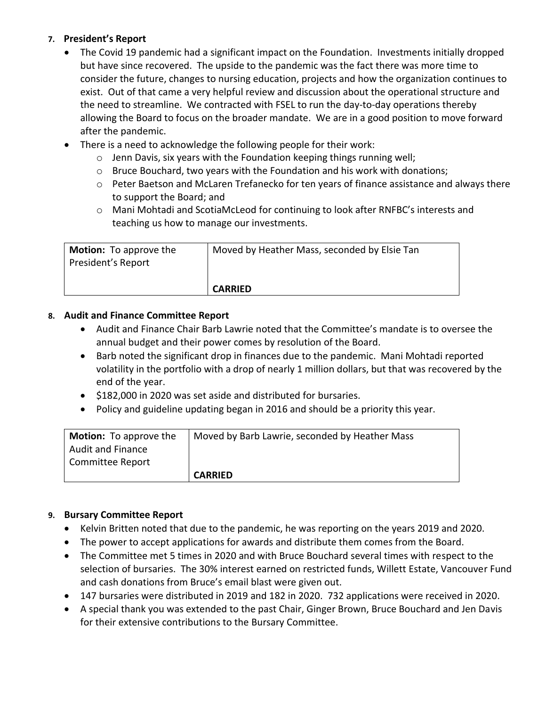# **7. President's Report**

- The Covid 19 pandemic had a significant impact on the Foundation. Investments initially dropped but have since recovered. The upside to the pandemic was the fact there was more time to consider the future, changes to nursing education, projects and how the organization continues to exist. Out of that came a very helpful review and discussion about the operational structure and the need to streamline. We contracted with FSEL to run the day-to-day operations thereby allowing the Board to focus on the broader mandate. We are in a good position to move forward after the pandemic.
- There is a need to acknowledge the following people for their work:
	- o Jenn Davis, six years with the Foundation keeping things running well;
	- $\circ$  Bruce Bouchard, two years with the Foundation and his work with donations;
	- $\circ$  Peter Baetson and McLaren Trefanecko for ten years of finance assistance and always there to support the Board; and
	- o Mani Mohtadi and ScotiaMcLeod for continuing to look after RNFBC's interests and teaching us how to manage our investments.

| <b>Motion:</b> To approve the<br>President's Report | Moved by Heather Mass, seconded by Elsie Tan |
|-----------------------------------------------------|----------------------------------------------|
|                                                     | <b>CARRIED</b>                               |

#### **8. Audit and Finance Committee Report**

- Audit and Finance Chair Barb Lawrie noted that the Committee's mandate is to oversee the annual budget and their power comes by resolution of the Board.
- Barb noted the significant drop in finances due to the pandemic. Mani Mohtadi reported volatility in the portfolio with a drop of nearly 1 million dollars, but that was recovered by the end of the year.
- \$182,000 in 2020 was set aside and distributed for bursaries.
- Policy and guideline updating began in 2016 and should be a priority this year.

| <b>Motion:</b> To approve the | Moved by Barb Lawrie, seconded by Heather Mass |
|-------------------------------|------------------------------------------------|
| <b>Audit and Finance</b>      |                                                |
| Committee Report              |                                                |
|                               | <b>CARRIED</b>                                 |

#### **9. Bursary Committee Report**

- Kelvin Britten noted that due to the pandemic, he was reporting on the years 2019 and 2020.
- The power to accept applications for awards and distribute them comes from the Board.
- The Committee met 5 times in 2020 and with Bruce Bouchard several times with respect to the selection of bursaries. The 30% interest earned on restricted funds, Willett Estate, Vancouver Fund and cash donations from Bruce's email blast were given out.
- 147 bursaries were distributed in 2019 and 182 in 2020. 732 applications were received in 2020.
- A special thank you was extended to the past Chair, Ginger Brown, Bruce Bouchard and Jen Davis for their extensive contributions to the Bursary Committee.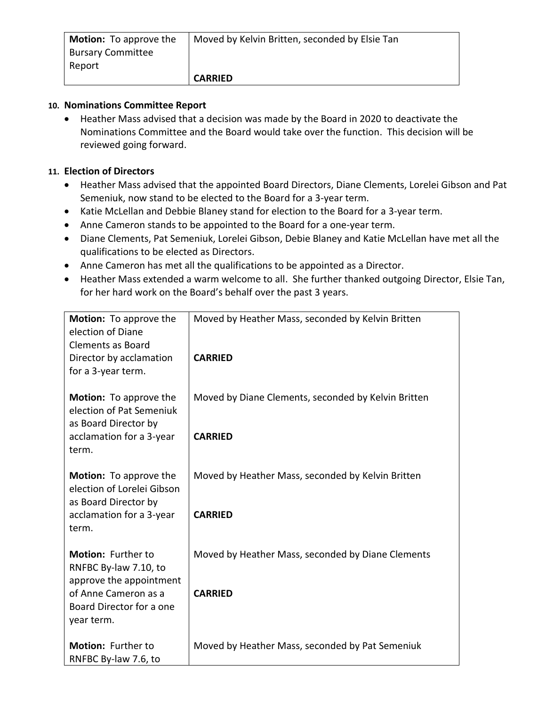| <b>Motion:</b> To approve the | Moved by Kelvin Britten, seconded by Elsie Tan |
|-------------------------------|------------------------------------------------|
| <b>Bursary Committee</b>      |                                                |
| Report                        |                                                |
|                               | <b>CARRIED</b>                                 |

# **10. Nominations Committee Report**

• Heather Mass advised that a decision was made by the Board in 2020 to deactivate the Nominations Committee and the Board would take over the function. This decision will be reviewed going forward.

# **11. Election of Directors**

- Heather Mass advised that the appointed Board Directors, Diane Clements, Lorelei Gibson and Pat Semeniuk, now stand to be elected to the Board for a 3-year term.
- Katie McLellan and Debbie Blaney stand for election to the Board for a 3-year term.
- Anne Cameron stands to be appointed to the Board for a one-year term.
- Diane Clements, Pat Semeniuk, Lorelei Gibson, Debie Blaney and Katie McLellan have met all the qualifications to be elected as Directors.
- Anne Cameron has met all the qualifications to be appointed as a Director.
- Heather Mass extended a warm welcome to all. She further thanked outgoing Director, Elsie Tan, for her hard work on the Board's behalf over the past 3 years.

| Motion: To approve the<br>election of Diane<br><b>Clements as Board</b>             | Moved by Heather Mass, seconded by Kelvin Britten   |
|-------------------------------------------------------------------------------------|-----------------------------------------------------|
| Director by acclamation<br>for a 3-year term.                                       | <b>CARRIED</b>                                      |
| <b>Motion:</b> To approve the<br>election of Pat Semeniuk<br>as Board Director by   | Moved by Diane Clements, seconded by Kelvin Britten |
| acclamation for a 3-year<br>term.                                                   | <b>CARRIED</b>                                      |
| <b>Motion:</b> To approve the<br>election of Lorelei Gibson<br>as Board Director by | Moved by Heather Mass, seconded by Kelvin Britten   |
| acclamation for a 3-year<br>term.                                                   | <b>CARRIED</b>                                      |
| Motion: Further to<br>RNFBC By-law 7.10, to<br>approve the appointment              | Moved by Heather Mass, seconded by Diane Clements   |
| of Anne Cameron as a<br>Board Director for a one<br>year term.                      | <b>CARRIED</b>                                      |
| <b>Motion: Further to</b><br>RNFBC By-law 7.6, to                                   | Moved by Heather Mass, seconded by Pat Semeniuk     |